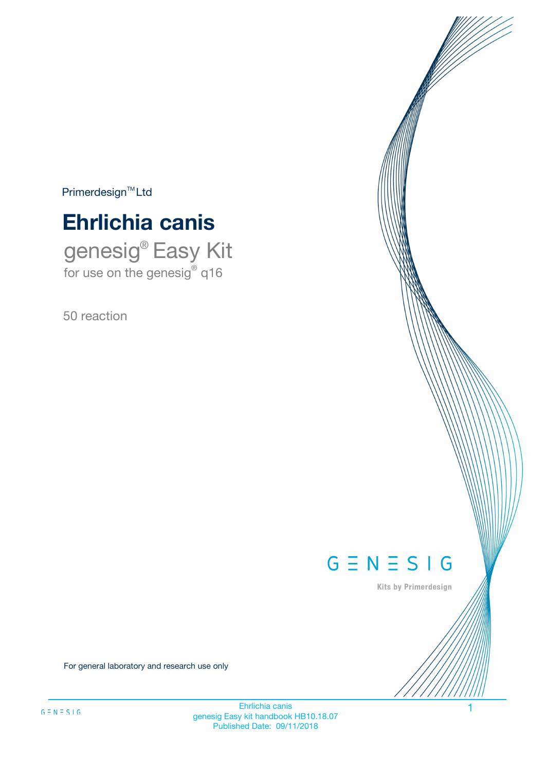$Primerdesign^{\text{TM}}Ltd$ 

# **Ehrlichia canis**

genesig® Easy Kit for use on the genesig® q16

50 reaction



Kits by Primerdesign

For general laboratory and research use only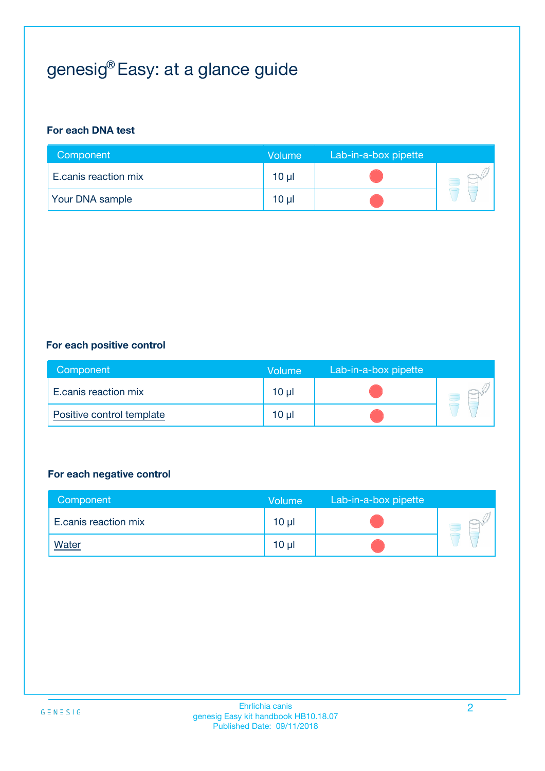# genesig® Easy: at a glance guide

#### **For each DNA test**

| Component            | <b>Volume</b> | Lab-in-a-box pipette |  |
|----------------------|---------------|----------------------|--|
| E.canis reaction mix | 10 µl         |                      |  |
| Your DNA sample      | 10 µl         |                      |  |

#### **For each positive control**

| Component                 | Volume          | Lab-in-a-box pipette |  |
|---------------------------|-----------------|----------------------|--|
| E.canis reaction mix      | 10 <sub>µ</sub> |                      |  |
| Positive control template | $10 \mu$        |                      |  |

#### **For each negative control**

| Component            | Volume          | Lab-in-a-box pipette |  |
|----------------------|-----------------|----------------------|--|
| E.canis reaction mix | 10 <sub>µ</sub> |                      |  |
| <b>Water</b>         | 10 <sub>µ</sub> |                      |  |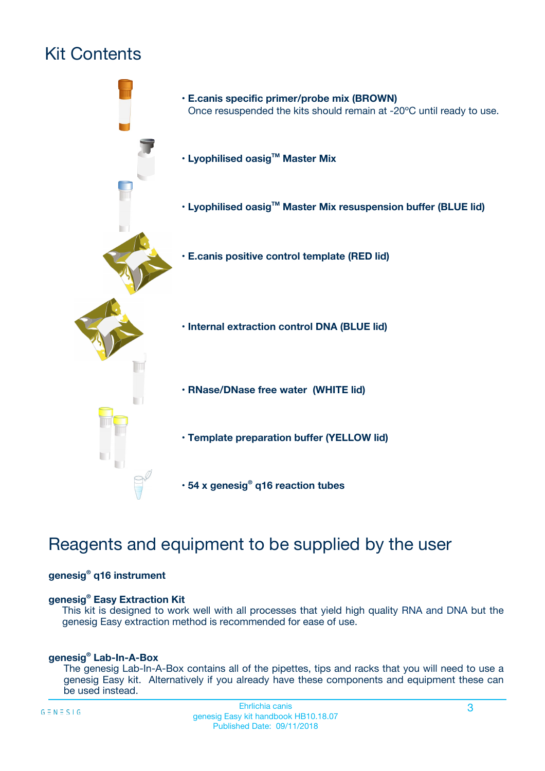# Kit Contents



## Reagents and equipment to be supplied by the user

#### **genesig® q16 instrument**

#### **genesig® Easy Extraction Kit**

This kit is designed to work well with all processes that yield high quality RNA and DNA but the genesig Easy extraction method is recommended for ease of use.

#### **genesig® Lab-In-A-Box**

The genesig Lab-In-A-Box contains all of the pipettes, tips and racks that you will need to use a genesig Easy kit. Alternatively if you already have these components and equipment these can be used instead.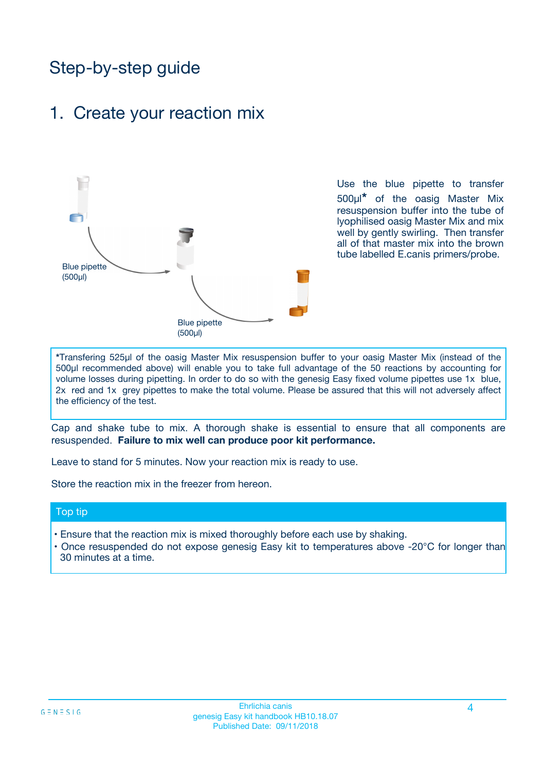## Step-by-step guide

### 1. Create your reaction mix



Use the blue pipette to transfer 500µl**\*** of the oasig Master Mix resuspension buffer into the tube of lyophilised oasig Master Mix and mix well by gently swirling. Then transfer all of that master mix into the brown tube labelled E.canis primers/probe.

**\***Transfering 525µl of the oasig Master Mix resuspension buffer to your oasig Master Mix (instead of the 500µl recommended above) will enable you to take full advantage of the 50 reactions by accounting for volume losses during pipetting. In order to do so with the genesig Easy fixed volume pipettes use 1x blue, 2x red and 1x grey pipettes to make the total volume. Please be assured that this will not adversely affect the efficiency of the test.

Cap and shake tube to mix. A thorough shake is essential to ensure that all components are resuspended. **Failure to mix well can produce poor kit performance.**

Leave to stand for 5 minutes. Now your reaction mix is ready to use.

Store the reaction mix in the freezer from hereon.

#### Top tip

- Ensure that the reaction mix is mixed thoroughly before each use by shaking.
- **•** Once resuspended do not expose genesig Easy kit to temperatures above -20°C for longer than 30 minutes at a time.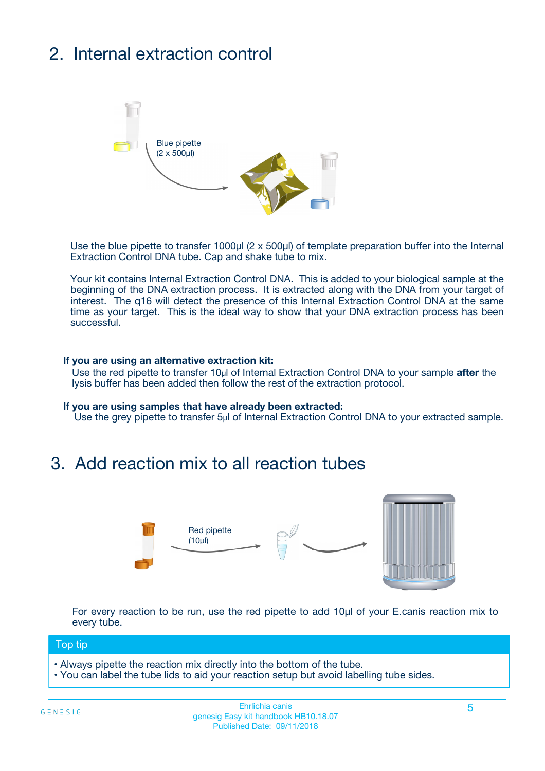# 2. Internal extraction control



Use the blue pipette to transfer 1000µl (2 x 500µl) of template preparation buffer into the Internal Extraction Control DNA tube. Cap and shake tube to mix.

Your kit contains Internal Extraction Control DNA. This is added to your biological sample at the beginning of the DNA extraction process. It is extracted along with the DNA from your target of interest. The q16 will detect the presence of this Internal Extraction Control DNA at the same time as your target. This is the ideal way to show that your DNA extraction process has been successful.

#### **If you are using an alternative extraction kit:**

Use the red pipette to transfer 10µl of Internal Extraction Control DNA to your sample **after** the lysis buffer has been added then follow the rest of the extraction protocol.

#### **If you are using samples that have already been extracted:**

Use the grey pipette to transfer 5µl of Internal Extraction Control DNA to your extracted sample.

### 3. Add reaction mix to all reaction tubes



For every reaction to be run, use the red pipette to add 10µl of your E.canis reaction mix to every tube.

#### Top tip

- Always pipette the reaction mix directly into the bottom of the tube.
- You can label the tube lids to aid your reaction setup but avoid labelling tube sides.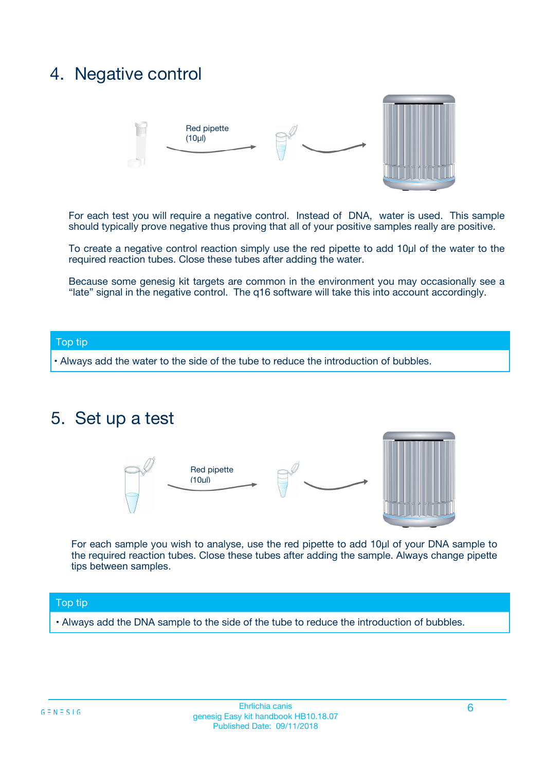## 4. Negative control



For each test you will require a negative control. Instead of DNA, water is used. This sample should typically prove negative thus proving that all of your positive samples really are positive.

To create a negative control reaction simply use the red pipette to add 10µl of the water to the required reaction tubes. Close these tubes after adding the water.

Because some genesig kit targets are common in the environment you may occasionally see a "late" signal in the negative control. The q16 software will take this into account accordingly.

#### Top tip

**•** Always add the water to the side of the tube to reduce the introduction of bubbles.

### 5. Set up a test



For each sample you wish to analyse, use the red pipette to add 10µl of your DNA sample to the required reaction tubes. Close these tubes after adding the sample. Always change pipette tips between samples.

#### Top tip

**•** Always add the DNA sample to the side of the tube to reduce the introduction of bubbles.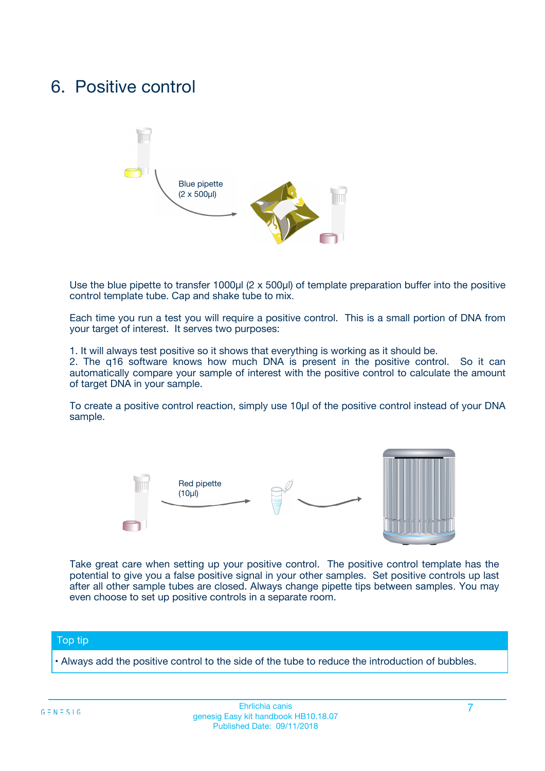## 6. Positive control



Use the blue pipette to transfer 1000µl (2 x 500µl) of template preparation buffer into the positive control template tube. Cap and shake tube to mix.

Each time you run a test you will require a positive control. This is a small portion of DNA from your target of interest. It serves two purposes:

1. It will always test positive so it shows that everything is working as it should be.

2. The q16 software knows how much DNA is present in the positive control. So it can automatically compare your sample of interest with the positive control to calculate the amount of target DNA in your sample.

To create a positive control reaction, simply use 10µl of the positive control instead of your DNA sample.



Take great care when setting up your positive control. The positive control template has the potential to give you a false positive signal in your other samples. Set positive controls up last after all other sample tubes are closed. Always change pipette tips between samples. You may even choose to set up positive controls in a separate room.

#### Top tip

**•** Always add the positive control to the side of the tube to reduce the introduction of bubbles.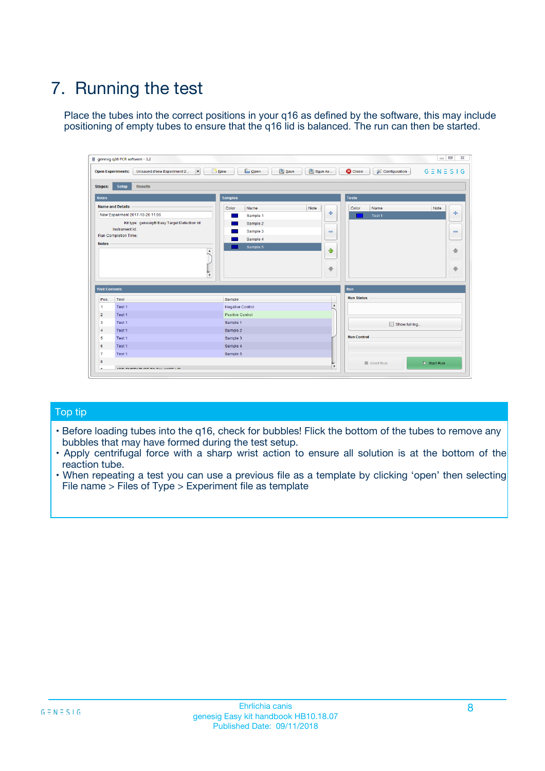# 7. Running the test

Place the tubes into the correct positions in your q16 as defined by the software, this may include positioning of empty tubes to ensure that the q16 lid is balanced. The run can then be started.

| qenesig q16 PCR software - 1.2                                               |                                   | $\Box$                                                                                          |
|------------------------------------------------------------------------------|-----------------------------------|-------------------------------------------------------------------------------------------------|
| $\vert \cdot \vert$<br>Unsaved (New Experiment 2<br><b>Open Experiments:</b> | <b>D</b> Open<br>R <sub>New</sub> | Save<br>Save As<br><b>C</b> Close<br><b>&amp; Configuration</b><br>$G \equiv N \equiv S \mid G$ |
| <b>Setup</b><br><b>Results</b><br>Stages:                                    |                                   |                                                                                                 |
| <b>Notes</b>                                                                 | <b>Samples</b>                    | <b>Tests</b>                                                                                    |
| <b>Name and Details</b>                                                      | Name<br>Color                     | Note<br>Color<br>Note<br>Name                                                                   |
| New Experiment 2017-10-26 11:06                                              | Sample 1                          | ÷<br>条<br>Test 1                                                                                |
| Kit type: genesig® Easy Target Detection kit                                 | Sample 2                          |                                                                                                 |
| Instrument Id.:                                                              | Sample 3                          | $\qquad \qquad \blacksquare$<br>$\qquad \qquad \blacksquare$                                    |
| <b>Run Completion Time:</b>                                                  | Sample 4                          |                                                                                                 |
| <b>Notes</b><br><b>A</b><br>$\overline{\mathbf v}$                           | Sample 5                          | ♦<br>4<br>÷<br>₩                                                                                |
| <b>Well Contents</b>                                                         |                                   | <b>Run</b>                                                                                      |
| Pos.<br>Test                                                                 | Sample                            | <b>Run Status</b>                                                                               |
| Test 1<br>$\blacktriangleleft$                                               | Negative Control                  | $\blacktriangle$                                                                                |
| $\overline{2}$<br>Test 1                                                     | <b>Positive Control</b>           |                                                                                                 |
| $\overline{\mathbf{3}}$<br>Test 1                                            | Sample 1                          | Show full log                                                                                   |
| Test 1<br>4                                                                  | Sample 2                          |                                                                                                 |
| 5<br>Test 1                                                                  | Sample 3                          | <b>Run Control</b>                                                                              |
| Test 1<br>6                                                                  | Sample 4                          |                                                                                                 |
| $\overline{7}$<br>Test 1                                                     | Sample 5                          |                                                                                                 |
| 8                                                                            |                                   | $\triangleright$ Start Run<br>Abort Run                                                         |
| <b>JOD FURTY TUDE TO BUILDED IN</b>                                          |                                   | $\overline{\mathbf{v}}$                                                                         |

#### Top tip

- Before loading tubes into the q16, check for bubbles! Flick the bottom of the tubes to remove any bubbles that may have formed during the test setup.
- Apply centrifugal force with a sharp wrist action to ensure all solution is at the bottom of the reaction tube.
- When repeating a test you can use a previous file as a template by clicking 'open' then selecting File name > Files of Type > Experiment file as template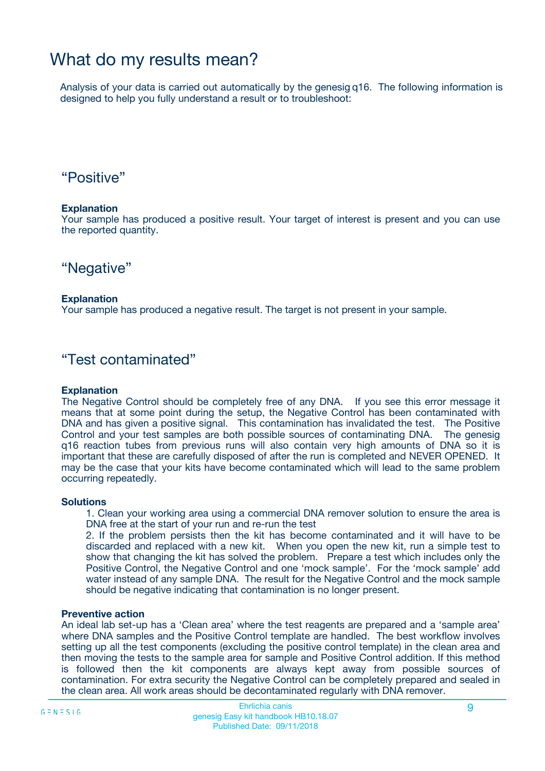## What do my results mean?

Analysis of your data is carried out automatically by the genesig q16. The following information is designed to help you fully understand a result or to troubleshoot:

### "Positive"

#### **Explanation**

Your sample has produced a positive result. Your target of interest is present and you can use the reported quantity.

"Negative"

#### **Explanation**

Your sample has produced a negative result. The target is not present in your sample.

### "Test contaminated"

#### **Explanation**

The Negative Control should be completely free of any DNA. If you see this error message it means that at some point during the setup, the Negative Control has been contaminated with DNA and has given a positive signal. This contamination has invalidated the test. The Positive Control and your test samples are both possible sources of contaminating DNA. The genesig q16 reaction tubes from previous runs will also contain very high amounts of DNA so it is important that these are carefully disposed of after the run is completed and NEVER OPENED. It may be the case that your kits have become contaminated which will lead to the same problem occurring repeatedly.

#### **Solutions**

1. Clean your working area using a commercial DNA remover solution to ensure the area is DNA free at the start of your run and re-run the test

2. If the problem persists then the kit has become contaminated and it will have to be discarded and replaced with a new kit. When you open the new kit, run a simple test to show that changing the kit has solved the problem. Prepare a test which includes only the Positive Control, the Negative Control and one 'mock sample'. For the 'mock sample' add water instead of any sample DNA. The result for the Negative Control and the mock sample should be negative indicating that contamination is no longer present.

#### **Preventive action**

An ideal lab set-up has a 'Clean area' where the test reagents are prepared and a 'sample area' where DNA samples and the Positive Control template are handled. The best workflow involves setting up all the test components (excluding the positive control template) in the clean area and then moving the tests to the sample area for sample and Positive Control addition. If this method is followed then the kit components are always kept away from possible sources of contamination. For extra security the Negative Control can be completely prepared and sealed in the clean area. All work areas should be decontaminated regularly with DNA remover.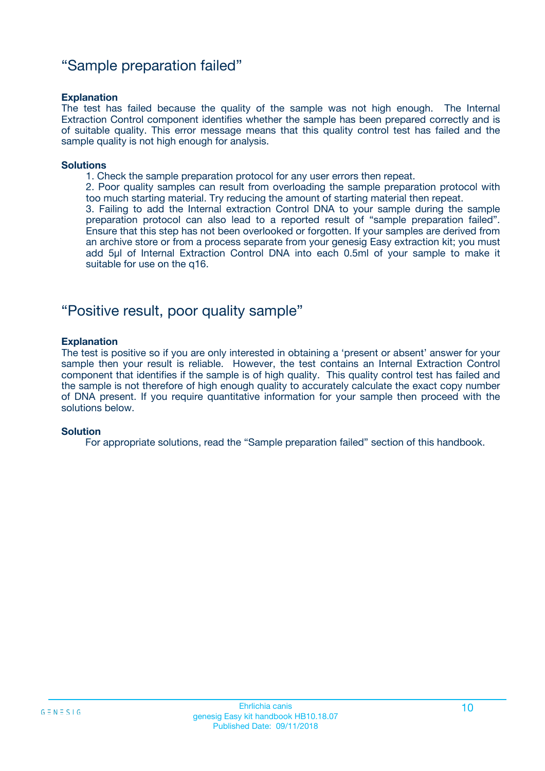### "Sample preparation failed"

#### **Explanation**

The test has failed because the quality of the sample was not high enough. The Internal Extraction Control component identifies whether the sample has been prepared correctly and is of suitable quality. This error message means that this quality control test has failed and the sample quality is not high enough for analysis.

#### **Solutions**

1. Check the sample preparation protocol for any user errors then repeat.

2. Poor quality samples can result from overloading the sample preparation protocol with too much starting material. Try reducing the amount of starting material then repeat.

3. Failing to add the Internal extraction Control DNA to your sample during the sample preparation protocol can also lead to a reported result of "sample preparation failed". Ensure that this step has not been overlooked or forgotten. If your samples are derived from an archive store or from a process separate from your genesig Easy extraction kit; you must add 5µl of Internal Extraction Control DNA into each 0.5ml of your sample to make it suitable for use on the q16.

### "Positive result, poor quality sample"

#### **Explanation**

The test is positive so if you are only interested in obtaining a 'present or absent' answer for your sample then your result is reliable. However, the test contains an Internal Extraction Control component that identifies if the sample is of high quality. This quality control test has failed and the sample is not therefore of high enough quality to accurately calculate the exact copy number of DNA present. If you require quantitative information for your sample then proceed with the solutions below.

#### **Solution**

For appropriate solutions, read the "Sample preparation failed" section of this handbook.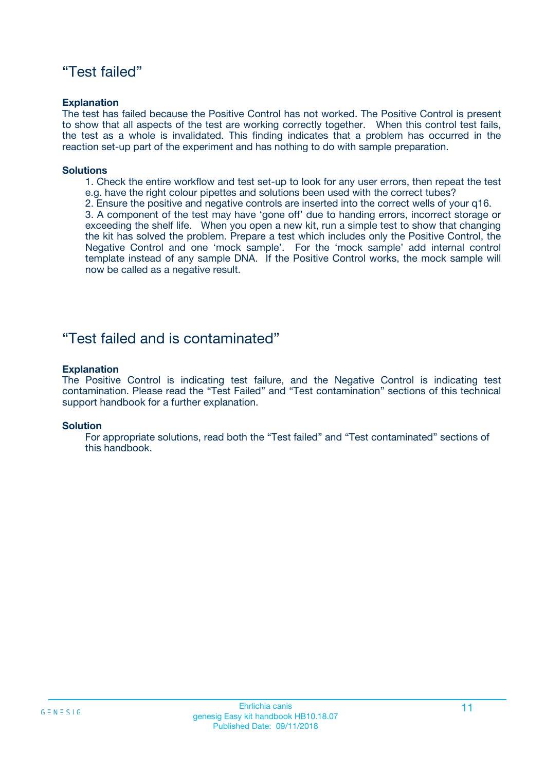### "Test failed"

#### **Explanation**

The test has failed because the Positive Control has not worked. The Positive Control is present to show that all aspects of the test are working correctly together. When this control test fails, the test as a whole is invalidated. This finding indicates that a problem has occurred in the reaction set-up part of the experiment and has nothing to do with sample preparation.

#### **Solutions**

- 1. Check the entire workflow and test set-up to look for any user errors, then repeat the test e.g. have the right colour pipettes and solutions been used with the correct tubes?
- 2. Ensure the positive and negative controls are inserted into the correct wells of your q16.

3. A component of the test may have 'gone off' due to handing errors, incorrect storage or exceeding the shelf life. When you open a new kit, run a simple test to show that changing the kit has solved the problem. Prepare a test which includes only the Positive Control, the Negative Control and one 'mock sample'. For the 'mock sample' add internal control template instead of any sample DNA. If the Positive Control works, the mock sample will now be called as a negative result.

### "Test failed and is contaminated"

#### **Explanation**

The Positive Control is indicating test failure, and the Negative Control is indicating test contamination. Please read the "Test Failed" and "Test contamination" sections of this technical support handbook for a further explanation.

#### **Solution**

For appropriate solutions, read both the "Test failed" and "Test contaminated" sections of this handbook.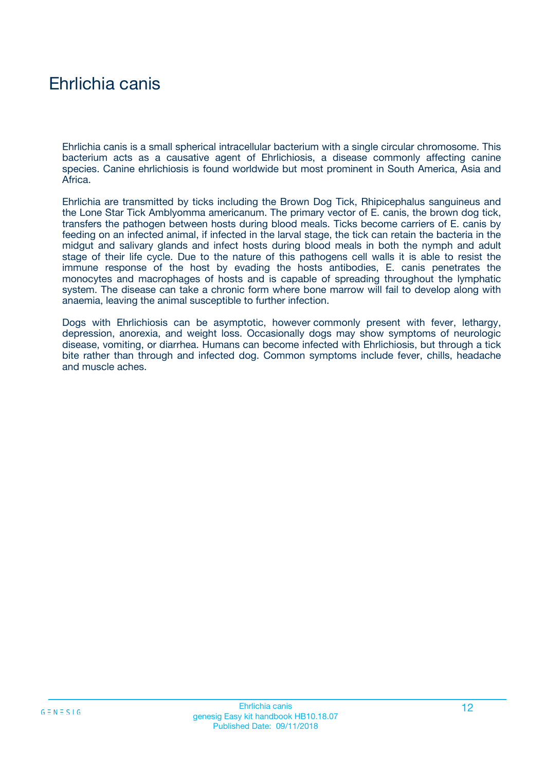## Ehrlichia canis

Ehrlichia canis is a small spherical intracellular bacterium with a single circular chromosome. This bacterium acts as a causative agent of Ehrlichiosis, a disease commonly affecting canine species. Canine ehrlichiosis is found worldwide but most prominent in South America, Asia and Africa.

Ehrlichia are transmitted by ticks including the Brown Dog Tick, Rhipicephalus sanguineus and the Lone Star Tick Amblyomma americanum. The primary vector of E. canis, the brown dog tick, transfers the pathogen between hosts during blood meals. Ticks become carriers of E. canis by feeding on an infected animal, if infected in the larval stage, the tick can retain the bacteria in the midgut and salivary glands and infect hosts during blood meals in both the nymph and adult stage of their life cycle. Due to the nature of this pathogens cell walls it is able to resist the immune response of the host by evading the hosts antibodies, E. canis penetrates the monocytes and macrophages of hosts and is capable of spreading throughout the lymphatic system. The disease can take a chronic form where bone marrow will fail to develop along with anaemia, leaving the animal susceptible to further infection.

Dogs with Ehrlichiosis can be asymptotic, however commonly present with fever, lethargy, depression, anorexia, and weight loss. Occasionally dogs may show symptoms of neurologic disease, vomiting, or diarrhea. Humans can become infected with Ehrlichiosis, but through a tick bite rather than through and infected dog. Common symptoms include fever, chills, headache and muscle aches.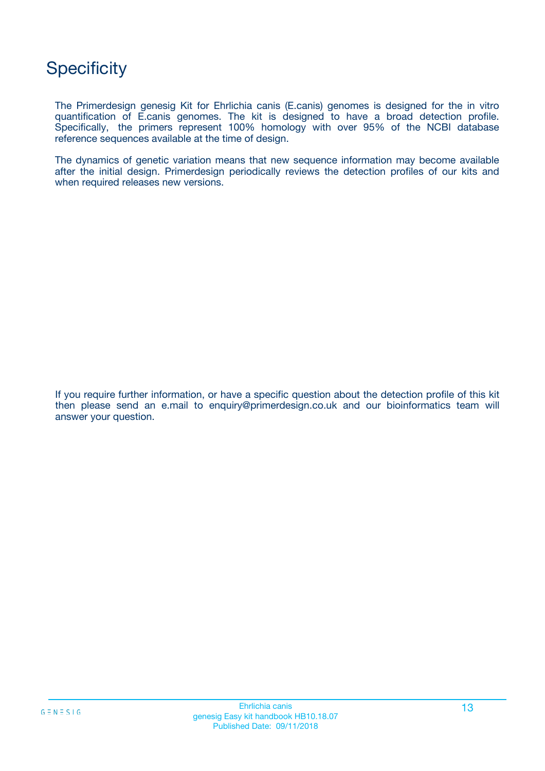## **Specificity**

The Primerdesign genesig Kit for Ehrlichia canis (E.canis) genomes is designed for the in vitro quantification of E.canis genomes. The kit is designed to have a broad detection profile. Specifically, the primers represent 100% homology with over 95% of the NCBI database reference sequences available at the time of design.

The dynamics of genetic variation means that new sequence information may become available after the initial design. Primerdesign periodically reviews the detection profiles of our kits and when required releases new versions.

If you require further information, or have a specific question about the detection profile of this kit then please send an e.mail to enquiry@primerdesign.co.uk and our bioinformatics team will answer your question.